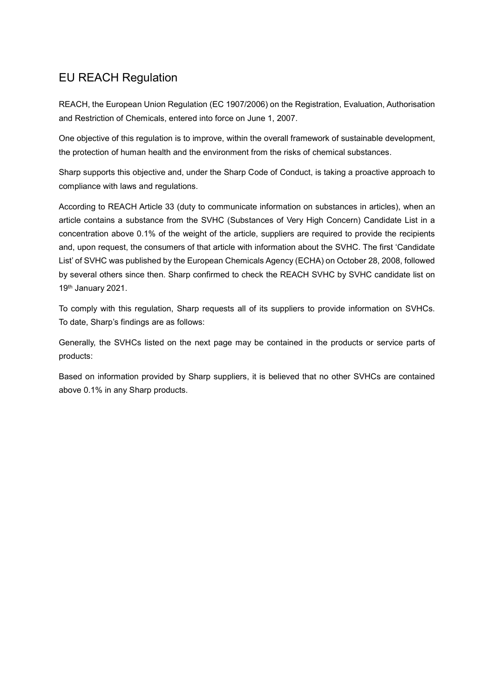## EU REACH Regulation

REACH, the European Union Regulation (EC 1907/2006) on the Registration, Evaluation, Authorisation and Restriction of Chemicals, entered into force on June 1, 2007.

One objective of this regulation is to improve, within the overall framework of sustainable development, the protection of human health and the environment from the risks of chemical substances.

Sharp supports this objective and, under the Sharp Code of Conduct, is taking a proactive approach to compliance with laws and regulations.

According to REACH Article 33 (duty to communicate information on substances in articles), when an article contains a substance from the SVHC (Substances of Very High Concern) Candidate List in a concentration above 0.1% of the weight of the article, suppliers are required to provide the recipients and, upon request, the consumers of that article with information about the SVHC. The first 'Candidate List' of SVHC was published by the European Chemicals Agency (ECHA) on October 28, 2008, followed by several others since then. Sharp confirmed to check the REACH SVHC by SVHC candidate list on 19th January 2021.

To comply with this regulation, Sharp requests all of its suppliers to provide information on SVHCs. To date, Sharp's findings are as follows:

Generally, the SVHCs listed on the next page may be contained in the products or service parts of products:

Based on information provided by Sharp suppliers, it is believed that no other SVHCs are contained above 0.1% in any Sharp products.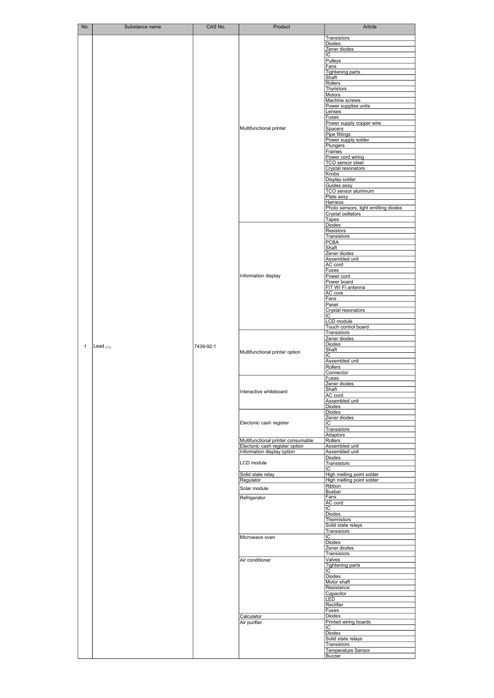| No.          | Substance name | CAS No.   | Product                            | Article                                      |
|--------------|----------------|-----------|------------------------------------|----------------------------------------------|
|              |                |           |                                    | Transistors                                  |
|              |                |           |                                    | Diodes                                       |
|              |                |           |                                    | Zener diodes                                 |
|              |                |           |                                    | IC<br>Pulleys                                |
|              |                |           |                                    | Fans                                         |
|              |                |           |                                    | Tightening parts                             |
|              |                |           |                                    | Shaft<br>Rollers                             |
|              |                |           |                                    | Thyristors                                   |
|              |                |           |                                    | Motors                                       |
|              |                |           |                                    | Machine screws                               |
|              |                |           |                                    | Power supplies units<br>Lenses               |
|              |                |           |                                    | Fuses                                        |
|              |                |           |                                    | Power supply copper wire                     |
|              |                |           | Multifunctional printer            | Spacers                                      |
|              |                |           |                                    | Pipe fittings<br>Power supply solder         |
|              |                |           |                                    | Plungers                                     |
|              |                |           |                                    | Frames                                       |
|              |                |           |                                    | Power cord wiring<br><b>TCO</b> sensor steel |
|              |                |           |                                    | Crystal resonators                           |
|              |                |           |                                    | Knobs                                        |
|              |                |           |                                    | Display solder                               |
|              |                |           |                                    | Guides assy<br>TCO sensor aluminum           |
|              |                |           |                                    | Plate assy                                   |
|              |                |           |                                    | Harness                                      |
|              |                |           |                                    | Photo sensors, light emitting diodes         |
|              |                |           |                                    | Crystal osillators<br>Tapes                  |
|              |                |           |                                    | Diodes                                       |
|              |                |           |                                    | Resistors                                    |
|              |                |           |                                    | Transistors<br><b>PCBA</b>                   |
|              |                |           |                                    | Shaft                                        |
|              |                |           |                                    | Zener diodes                                 |
|              |                |           |                                    | Assembled unit                               |
|              |                |           | Information display                | AC cord<br>Fuses                             |
|              |                |           |                                    | Power cord                                   |
|              |                |           |                                    | Power board                                  |
|              |                |           |                                    | FIT WI FI antenna                            |
|              |                |           |                                    | AC core<br>Fans                              |
|              |                |           |                                    | Panel                                        |
|              |                |           |                                    | Crystal resonators                           |
|              |                |           |                                    | IC<br>LCD module                             |
|              |                |           |                                    | Touch control board                          |
|              | Lead $(1)$     |           | Multifunctional printer option     | Transistors                                  |
|              |                |           |                                    | Zener diodes                                 |
| $\mathbf{1}$ |                | 7439-92-1 |                                    | Diodes<br>Shaft                              |
|              |                |           |                                    | IC                                           |
|              |                |           |                                    | Assembled unit                               |
|              |                |           |                                    | Rollers<br>Connector                         |
|              |                |           | Interactive whiteboard             | Fuses                                        |
|              |                |           |                                    | Zener diodes                                 |
|              |                |           |                                    | Shaft<br>AC cord                             |
|              |                |           |                                    | Assembled unit                               |
|              |                |           |                                    | Diodes                                       |
|              |                |           | Electonic cash register            | Diodes<br>Zener diodes                       |
|              |                |           |                                    | IC                                           |
|              |                |           |                                    | <b>Transistors</b>                           |
|              |                |           | Multifunctional printer consumable | Adaptors<br><b>Rollers</b>                   |
|              |                |           | Electonic cash register option     | Assembled unit                               |
|              |                |           | Information display option         | Assembled unit                               |
|              |                |           |                                    | Diodes                                       |
|              |                |           | LCD module                         | Transistors<br>IC                            |
|              |                |           | Solid state relay                  | High melting point solder                    |
|              |                |           | Regulator                          | High melting point solder                    |
|              |                |           | Solar module                       | Ribbon<br>Busbar                             |
|              |                |           | Refrigerator                       | Fans                                         |
|              |                |           |                                    | AC cord                                      |
|              |                |           |                                    | $\overline{1}\overline{C}$<br>Diodes         |
|              |                |           |                                    | Thermistors                                  |
|              |                |           |                                    | Solid state relays                           |
|              |                |           |                                    | Transistors<br>IC                            |
|              |                |           | Microwave oven                     | Diodes                                       |
|              |                |           |                                    | Zener diodes                                 |
|              |                |           |                                    | Transistors                                  |
|              |                |           | Air conditioner<br>Calculator      | Valves<br><b>Tightening parts</b>            |
|              |                |           |                                    | IC                                           |
|              |                |           |                                    | <b>Diodes</b>                                |
|              |                |           |                                    | Motor shaft<br>Resistance                    |
|              |                |           |                                    | Capacitor                                    |
|              |                |           |                                    | <b>LED</b>                                   |
|              |                |           |                                    | Rectifier<br>Fuses                           |
|              |                |           |                                    | <b>Diodes</b>                                |
|              |                |           | Air purifier                       | Printed wiring boards                        |
|              |                |           |                                    | $\overline{C}$                               |
|              |                |           |                                    | Diodes<br>Solid state relays                 |
|              |                |           |                                    | Transistors                                  |
|              |                |           |                                    | Temperature Sensor                           |
|              |                |           |                                    | Buzzer                                       |